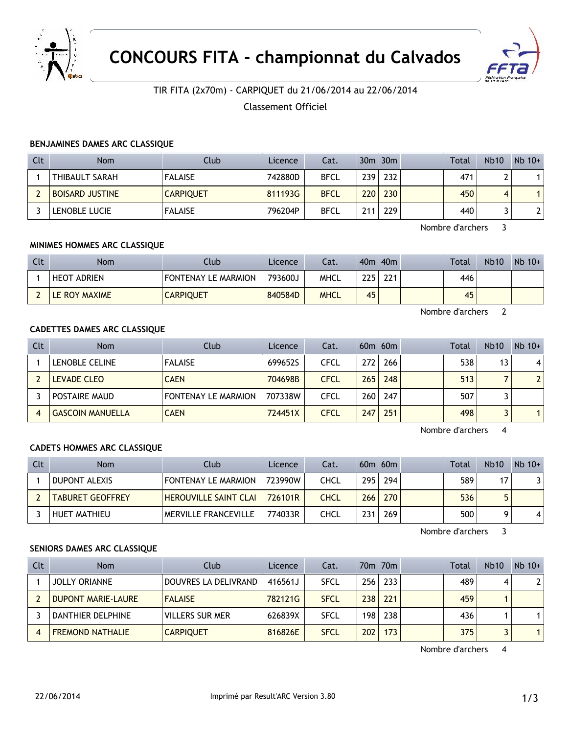



# TIR FITA (2x70m) - CARPIQUET du 21/06/2014 au 22/06/2014

Classement Officiel

## **BENJAMINES DAMES ARC CLASSIQUE**

| Clt | <b>Nom</b>             | Club             | Licence | Cat.        |     | $30m$ $30m$ |  | <b>Total</b> | <b>Nb10</b> | $Nb$ 10+ |
|-----|------------------------|------------------|---------|-------------|-----|-------------|--|--------------|-------------|----------|
|     | THIBAULT SARAH         | <b>FALAISE</b>   | 742880D | <b>BFCL</b> | 239 | 232         |  | 471          |             |          |
|     | <b>BOISARD JUSTINE</b> | <b>CARPIQUET</b> | 811193G | <b>BFCL</b> | 220 | 230         |  | 450          | 4           |          |
|     | LENOBLE LUCIE          | <b>FALAISE</b>   | 796204P | <b>BFCL</b> | 211 | 229         |  | 440          |             |          |

Nombre d'archers 3

## **MINIMES HOMMES ARC CLASSIQUE**

| Clt | Nom                | Club                       | Licence | Cat.        |     | 40 <sub>m</sub> 40 <sub>m</sub> |  | Total | <b>Nb10</b> | $Nb 10+$ |
|-----|--------------------|----------------------------|---------|-------------|-----|---------------------------------|--|-------|-------------|----------|
|     | <b>HEOT ADRIEN</b> | <b>FONTENAY LE MARMION</b> | 793600J | <b>MHCL</b> | 225 | 221                             |  | 446   |             |          |
|     | LE ROY MAXIME      | <b>CARPIQUET</b>           | 840584D | <b>MHCL</b> | 45  |                                 |  | 45    |             |          |

Nombre d'archers 2

# **CADETTES DAMES ARC CLASSIQUE**

| Clt | <b>Nom</b>              | Club                       | Licence | Cat.        |     | $60m$ $60m$ |  | <b>Total</b> | <b>Nb10</b> | $Nb$ 10+        |
|-----|-------------------------|----------------------------|---------|-------------|-----|-------------|--|--------------|-------------|-----------------|
|     | LENOBLE CELINE          | <b>FALAISE</b>             | 699652S | CFCL        | 272 | 266         |  | 538          | 13          | $\vert 4 \vert$ |
|     | <b>LEVADE CLEO</b>      | <b>CAEN</b>                | 704698B | <b>CFCL</b> | 265 | 248         |  | 513          |             | 2 <sup>1</sup>  |
|     | <b>POSTAIRE MAUD</b>    | <b>FONTENAY LE MARMION</b> | 707338W | CFCL        | 260 | 247         |  | 507          |             |                 |
|     | <b>GASCOIN MANUELLA</b> | <b>CAEN</b>                | 724451X | <b>CFCL</b> | 247 | 251         |  | 498          |             |                 |

Nombre d'archers 4

#### **CADETS HOMMES ARC CLASSIQUE**

| Clt | <b>Nom</b>              | Club                         | Licence | Cat. |     | $60m$ $60m$ |  | <b>Total</b> | <b>Nb10</b> | $Nb$ 10+ |
|-----|-------------------------|------------------------------|---------|------|-----|-------------|--|--------------|-------------|----------|
|     | DUPONT ALEXIS           | <b>FONTENAY LE MARMION</b>   | 723990W | CHCL | 295 | 294         |  | 589.         | 17          |          |
|     | <b>TABURET GEOFFREY</b> | <b>HEROUVILLE SAINT CLAI</b> | 726101R | CHCL | 266 | 270         |  | 536          |             |          |
|     | HUET MATHIEU            | <b>MERVILLE FRANCEVILLE</b>  | 774033R | CHCL | 231 | 269         |  | 500          |             |          |

Nombre d'archers 3

#### **SENIORS DAMES ARC CLASSIQUE**

| Clt | <b>Nom</b>                | Club                 | Licence | Cat.        |     | 70 <sub>m</sub> 70 <sub>m</sub> |  | Total | <b>Nb10</b> | $Nb$ 10+       |
|-----|---------------------------|----------------------|---------|-------------|-----|---------------------------------|--|-------|-------------|----------------|
|     | <b>JOLLY ORIANNE</b>      | DOUVRES LA DELIVRAND | 416561J | <b>SFCL</b> | 256 | 233                             |  | 489   | 4           | 2 <sup>1</sup> |
|     | <b>DUPONT MARIE-LAURE</b> | <b>FALAISE</b>       | 782121G | <b>SFCL</b> | 238 | 221                             |  | 459   |             |                |
|     | DANTHIER DELPHINE         | VILLERS SUR MER      | 626839X | <b>SFCL</b> | 198 | 238                             |  | 436   |             |                |
|     | <b>FREMOND NATHALIE</b>   | <b>CARPIQUET</b>     | 816826E | <b>SFCL</b> | 202 | 173                             |  | 375   |             |                |

Nombre d'archers 4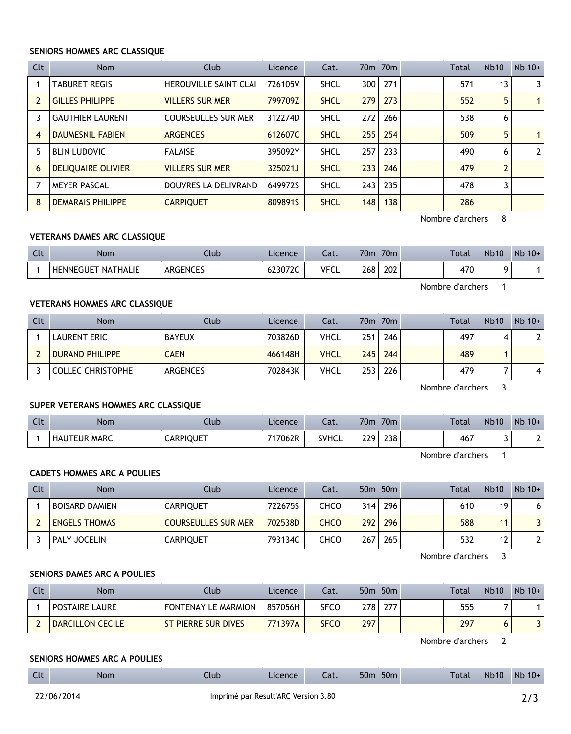#### **SENIORS HOMMES ARC CLASSIQUE**

| Clt | <b>Nom</b>                | Club                         | Licence | Cat.        |     | 70 <sub>m</sub> 70 <sub>m</sub> |  | <b>Total</b> | Nb10           | $Nb$ 10+       |
|-----|---------------------------|------------------------------|---------|-------------|-----|---------------------------------|--|--------------|----------------|----------------|
|     | <b>TABURET REGIS</b>      | <b>HEROUVILLE SAINT CLAI</b> | 726105V | <b>SHCL</b> | 300 | 271                             |  | 571          | 13             | 3              |
|     | <b>GILLES PHILIPPE</b>    | <b>VILLERS SUR MER</b>       | 799709Z | <b>SHCL</b> | 279 | 273                             |  | 552          | 5              |                |
| 3   | <b>GAUTHIER LAURENT</b>   | <b>COURSEULLES SUR MER</b>   | 312274D | <b>SHCL</b> | 272 | 266                             |  | 538          | 6              |                |
| 4   | <b>DAUMESNIL FABIEN</b>   | <b>ARGENCES</b>              | 612607C | <b>SHCL</b> | 255 | 254                             |  | 509          | 5              | 1              |
| 5   | <b>BLIN LUDOVIC</b>       | <b>FALAISE</b>               | 395092Y | <b>SHCL</b> | 257 | 233                             |  | 490          | 6              | $\overline{2}$ |
| 6   | <b>DELIQUAIRE OLIVIER</b> | <b>VILLERS SUR MER</b>       | 325021J | <b>SHCL</b> | 233 | 246                             |  | 479          | $\overline{2}$ |                |
|     | <b>MEYER PASCAL</b>       | DOUVRES LA DELIVRAND         | 649972S | <b>SHCL</b> | 243 | 235                             |  | 478          | 3              |                |
| 8   | <b>DEMARAIS PHILIPPE</b>  | <b>CARPIQUET</b>             | 8098915 | <b>SHCL</b> | 148 | 138                             |  | 286          |                |                |

Nombre d'archers 8

#### **VETERANS DAMES ARC CLASSIQUE**

| C14<br>นเ | Nom                                 | Club            | Licence | - 7<br>cal. | 70 <sub>m</sub> | 70 <sub>m</sub> | <b>Total</b> | <b>Nb10</b> | Nb<br>$10+$ |
|-----------|-------------------------------------|-----------------|---------|-------------|-----------------|-----------------|--------------|-------------|-------------|
|           | <b>NATHALIE</b><br><b>HENNEGUET</b> | <b>ARGENCES</b> | 623072C | <b>VFCL</b> | 268             | 202             | 470          |             |             |

Nombre d'archers 1

# **VETERANS HOMMES ARC CLASSIQUE**

| Clt | Nom                      | Club          | Licence | Cat.        |     | 70m 70m |  | Total | <b>Nb10</b> | $Nb 10+$       |
|-----|--------------------------|---------------|---------|-------------|-----|---------|--|-------|-------------|----------------|
|     | <b>LAURENT ERIC</b>      | <b>BAYEUX</b> | 703826D | VHCL        | 251 | 246     |  | 497   | 4           | 2 <sup>1</sup> |
|     | <b>DURAND PHILIPPE</b>   | <b>CAEN</b>   | 466148H | <b>VHCL</b> | 245 | 244     |  | 489   |             |                |
|     | <b>COLLEC CHRISTOPHE</b> | ARGENCES      | 702843K | VHCL        | 253 | 226     |  | 479   |             | 41             |

Nombre d'archers 3

# **SUPER VETERANS HOMMES ARC CLASSIQUE**

| <b>Clt</b> | Nom                 | Ilub             | Licence | Cat.         | 70 <sub>m</sub> | 70 <sub>m</sub> |  | <b>Total</b> | <b>Nb10</b> | <b>N<sub>b</sub></b><br>$10+$ |
|------------|---------------------|------------------|---------|--------------|-----------------|-----------------|--|--------------|-------------|-------------------------------|
|            | <b>HAUTEUR MARC</b> | <b>CARPIQUET</b> | 717062R | <b>SVHCL</b> | 229             | 238             |  | 467          |             | -                             |

Nombre d'archers 1

# **CADETS HOMMES ARC A POULIES**

| Clt | <b>Nom</b>            | Club                | Licence | Cat. |     | 50 <sub>m</sub> 50 <sub>m</sub> |  | Total | <b>Nb10</b> | $Nb 10+$ |
|-----|-----------------------|---------------------|---------|------|-----|---------------------------------|--|-------|-------------|----------|
|     | <b>BOISARD DAMIEN</b> | <b>CARPIOUET</b>    | 722675S | снсо | 314 | 296                             |  | 610   | 19          | 61       |
|     | <b>ENGELS THOMAS</b>  | COURSEULLES SUR MER | 702538D | CHCO | 292 | 296                             |  | 588   | 11          | 3        |
|     | PALY JOCELIN          | <b>CARPIQUET</b>    | 793134C | снсо | 267 | 265                             |  | 532   | 12          | າເ       |

Nombre d'archers 3

#### **SENIORS DAMES ARC A POULIES**

| Clt | Nom                     | <b>Club</b>                | Licence | Cat.        |     | 50m 50m |  | <b>Total</b> | <b>Nb10</b> | $Nb 10+$ |
|-----|-------------------------|----------------------------|---------|-------------|-----|---------|--|--------------|-------------|----------|
|     | <b>POSTAIRE LAURE</b>   | <b>FONTENAY LE MARMION</b> | 857056H | SFCO        | 278 | 277     |  | 555          |             |          |
|     | <b>DARCILLON CECILE</b> | <b>ST PIERRE SUR DIVES</b> | 771397A | <b>SFCO</b> | 297 |         |  | 297          |             |          |

Nombre d'archers 2

#### **SENIORS HOMMES ARC A POULIES**

| $\sim$ 1.<br><br>. | Non. | lub | tence | $\sim$<br>Cal. | $ \sim$<br>bUn | 50 <sub>m</sub> | Total | Nh10 | <b>Nb</b><br>$10+$ |
|--------------------|------|-----|-------|----------------|----------------|-----------------|-------|------|--------------------|
|                    |      |     |       |                |                |                 |       |      |                    |